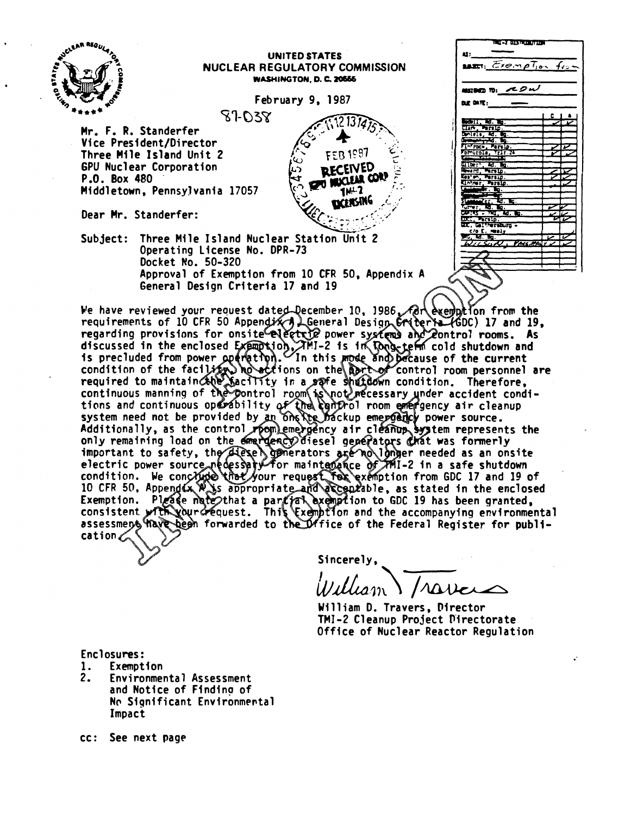

We have reviewed your request dated December 10, 1986 Arc exemption from the We have reviewed your request dated-December 10, 1986, Addeemobilion from the<br>requirements of 10 CFR 50 Appendix and General Design Criteria (GDC) 17 and 19,<br>regarding provisions for onsite electric power systems and 20nt only remaining ioad on the emergency diesel generators grat was formerly<br>important to safety, the diesel generators are no longer needed as an onsite<br>electric power source necessary for maintenance of 2011-2 in a safe shut cation

Sincerely,

 $\mathcal{V}$ ulliam) / ravers

William D. Travers, Director TMI-2 Cleanup Project Directorate Office of Nuclear Reactor Regulation

.·

Enclosures:

- 1. Exemption
- 2. Environmental Assessment and Notice of Finding of No Significant Environmental Impact
- cc: See next page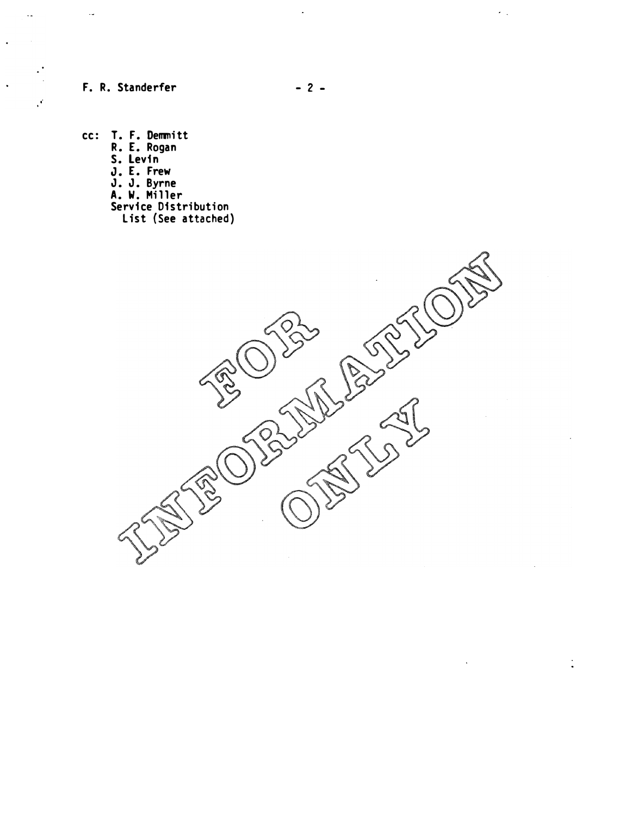F. R. Standerfer

 $\overline{\phantom{a}}$ 

 $\bar{\mathcal{A}}$ 

 $\mathcal{F}$ 

 $\ddot{\phantom{a}}$ 

 $\ddot{\phantom{1}}$ 

cc: T. F. Demmitt R. E. Rogan S. Levin J. E. Frew J. J. Byrne A. W. Miller Service Distribution

List (See attached)



 $\frac{1}{\sqrt{2}}$ 

 $\hat{\mathcal{L}}_{\text{in}}$ 

 $\frac{1}{2}$ 

 $\mathcal{A}^{\mathcal{A}}$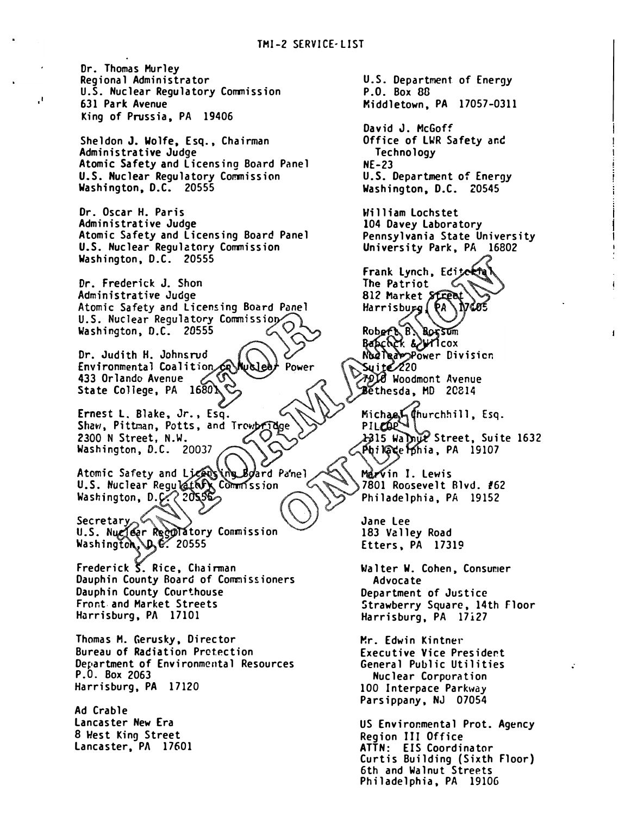Dr. Thomas Murley Regional Administrator U.S. Nuclear Regulatory Commission 631 Park Avenue King of Prussia, PA 19406

·'

Sheldon J. Wolfe, Esq., Chairman Administrative Judge Atomic Safety and licensing Board Panel U.S. Nuclear Regulatory Commission Washington, D.C. 20555

Dr. Oscar H. Paris Administrative Judge Atomic Safety and licensing Board Panel U.S. Nuclear Regulatory Commission Washington, D.C. 20555

Dr. Frederick J. Shon Administrative Judge Atomic Safety and Licensing Board Panel U.S. Nuclear Regulatory Commission  $\overline{O}$ Washington, D.C. 20555

Dr. Judith H. Johnsrud Environmental Coalition Power 433 Orlando Avenue State College, PA 1680)

Ernest L. Blake, Jr., Esq. Shaw, Pittman, Potts, and Trewby 2300 N Street, N.W. Washington, D.C. 20037

Atomic Safety and Licensing Board *Board* Panel Washington, D.C. 2055

atory Conmission . 20555

Frederick  $\overline{S}$ . Rice, Chairman Dauphin County Board of Commissioners Dauphin County Courthouse Front. and Market Streets Harrisburg, PA 17101

Thomas M. Gerusky, Director Bureau of Radiation Pretection Department of Environmental Resources P.O. Box 2063 Harrisburg, PA 17120

Ad Crable lancaster New Era 8 West King Street lancaster, PA 17601

U.S. Department of Energy P.O. Box 88 Middletown, PA 17057-0311 David J. McGoff Office of LWR Safety and **Technology** NE-23 U.S. Department of Energy Washington, D.C. 20545 William lochstet 104 Davey laboratory Pennsylvania State University University Park, PA 16802 Frank Lynch, Editerte The Patriot 812 Market Stree Harrisburg (PA) Robert B. Borsum Nudleappower Division Syite  $\ell$ 20 **79)0 Woodmont Avenue** Bethesda. MD 20814 Michael (hurchhill, Esq.<br>PILZOP<br>A315 Walnut Street, Suite 1632 Phi Nace Pohia, PA 19107 Marvin I. Lewis 7801 Roosevelt Blvd. #62 Philadelphia, PA 19152 Jane lee 183 Valley Road Etters, PA 17319 Walter W. Cohen, Consumer Advocate Department of Justice Strawberry Square, 14th Floor Harrisburg, PA 17i27 �r. Edwin Kintner Executive Vice President General Public Utilities Nuclear Corporation 100 Interpace Parkway Parsippany, NJ 07054 US Environmental Prot. Agency Region III Office ATTN: EIS Coordinator Curtis Building (Sixth Floor)

6th and Walnut Streets Philadelphia, PA 19106 ÷.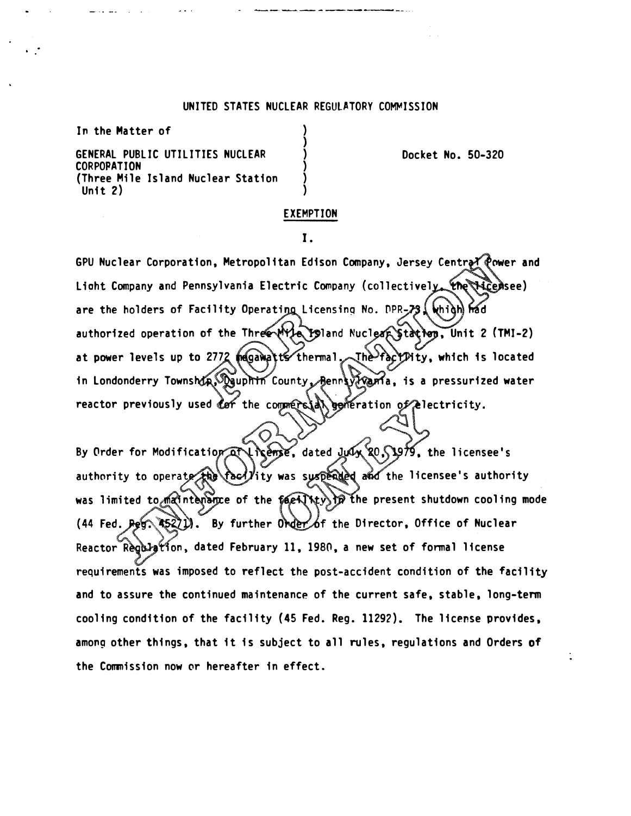## UNITED STATES NUCLEAR REGULATORY COMMISSION

 $\lambda$ ) ) ) ) )

In the Matter of

GENERAL PUBLIC UTILITIES NUClEAR CORPOPATION (Three Mile Island Nuclear Station Unit 2)

Docket No. 50-320

### EXEMPTION

I.

GPU Nuclear Corporation, Metropolitan Edison Company, Jersey Central Power and Light Company and Pennsylvania Electric Company (collectively the Hicensee) are the holders of Facility Operating Licensing No. DPR-73. Whigh had authorized operation of the Three Myle Island Nuclear Station, Unit 2 (TMI-2) at power levels up to 2772 magawatts thermal. The factPity, which is located in Londonderry Township, $\mathcal{P}$ guphin County, Bennsy Younia, is a pressurized water reactor previously used the commersion generation of electricity.

 $\bigcirc$ 

By Order for Modification at I hearse, dated July 20, 1979, the licensee's authority to operate the racility was suspended and the licensee's authority was limited to maintenance of the facility in the present shutdown cooling mode  $(44$  Fed.  $\text{Ref} \times \text{Re} 2)$ ). By further  $\text{Order}$  of the Director, Office of Nuclear Reactor Regilation, dated February 11, 1980, a new set of formal license requirements was imposed to reflect the post-accident condition of the facility and to assure the continued maintenance of the current safe, stable, long-term cooling condition of the facility (45 Fed. Reg. 11292). The license provides, among other things, that it is subject to all rules, regulations and Orders of the Commission now or hereafter in effect.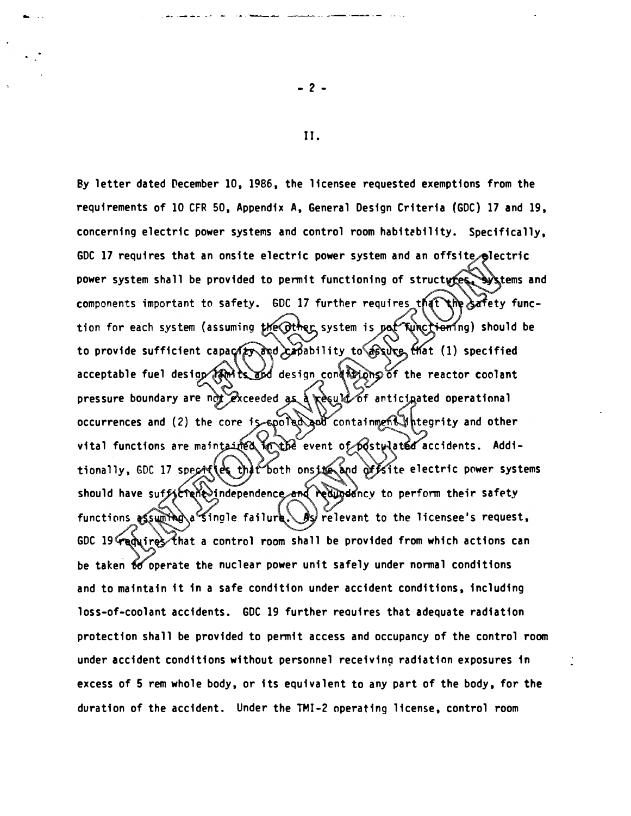By letter dated December 10, 1986, the licensee requested exemptions from the requirements of 10 CFR 50, Appendix A, General Design Criteria (GDC) 17 and 19, concerning electric power systems and control room habit�bility. Specifically, GDC 17 requires that an onsite electric power system and an offsite electric power system shall be provided to permit functioning of structures, systems and components important to safety. GDC 17 further requires that the safety function for each system (assuming the Other system is pot Kunctioning) should be to provide sufficient capace and canability to sure that (1) specified acceptable fuel design (AM) is and design conditions of the reactor coolant pressure boundary are ndt exceeded as a result of anticinated operational occurrences and (2) the core is spoted and containment theority and other vital functions are maintained कार्फिर्ट event of postµlated accidents. Additionally, GDC 17 specifies that both onsite and offsite electric power systems should have suf*f*jcTeňe)independence and redundancy to perform their safety functions assuming a single failure. By relevant to the licensee's request, GDC 19′ሞ@q\ires that a control room shall be provided from which actions can be taken to operate the nuclear power unit safely under normal conditions and to maintain it in a safe condition under accident conditions, including loss-of-coolant accidents. GOC 19 further reauires that adequate radiation protection shall be provided to permit access and occupancy of the control room under accident conditions without personnel receiving radiation exposures in excess of 5 rem whole body, or its equivalent to any part of the body, for the duration of the accident. Under the TMI-2 operating license, control room

II.

- 2 -

- ..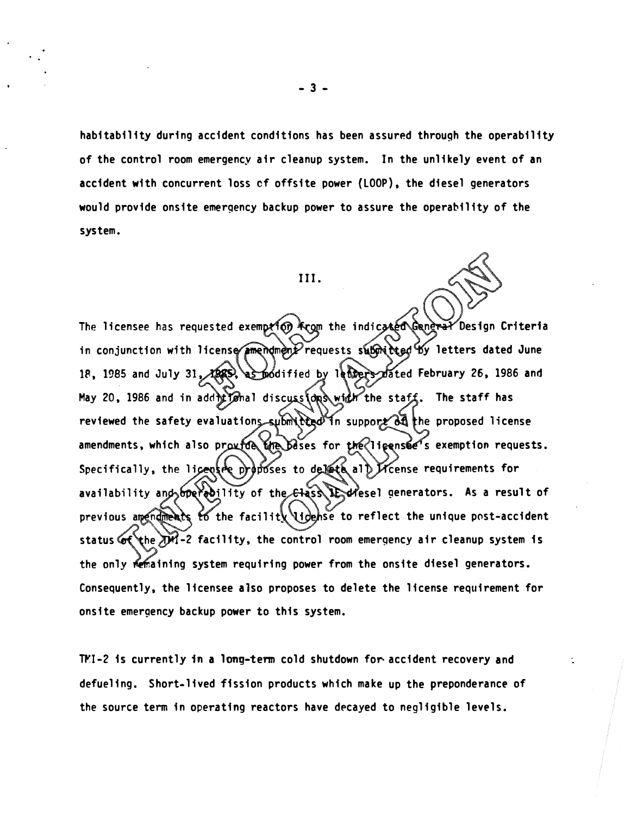habitability during accident conditions has been assured through the operability of the control room emergency air cleanup system. In the unlikely event of an accident with concurrent loss cf offsite power (LOOP), the diesel generators would provide onsite emergency backup power to assure the operability of the system.

#### III.

The licensee has requested exemption from the indicated Gangral Design Criteria in conjunction with license amendment requests submitted by letters dated June as modified by letters mated February 26, 1986 and 18, 1985 and July 31, 1989, May 20, 1986 and in additional discussions widt the staff. The staff has reviewed the safety evaluations submitted in support of the proposed license amendments, which also provide the bases for the ligense is exemption requests. Specifically, the licentre proposes to delete all Kcense requirements for availability and operedility of the class ledesel generators. As a result of previous amendments to the facility lidense to reflect the unique post-accident status  $\circ$  the  $\mathcal{M}$ -2 facility, the control room emergency air cleanup system is the only remaining system requiring power from the onsite diesel generators. Consequently, the licensee also proposes to delete the license requirement for onsite emergency backup power to this system.

TMI-2 is currently in a long-term cold shutdown for accident recovery and defueling. Short-lived fission products which make up the preponderance of the source term in operating reactors have decayed to negligible levels.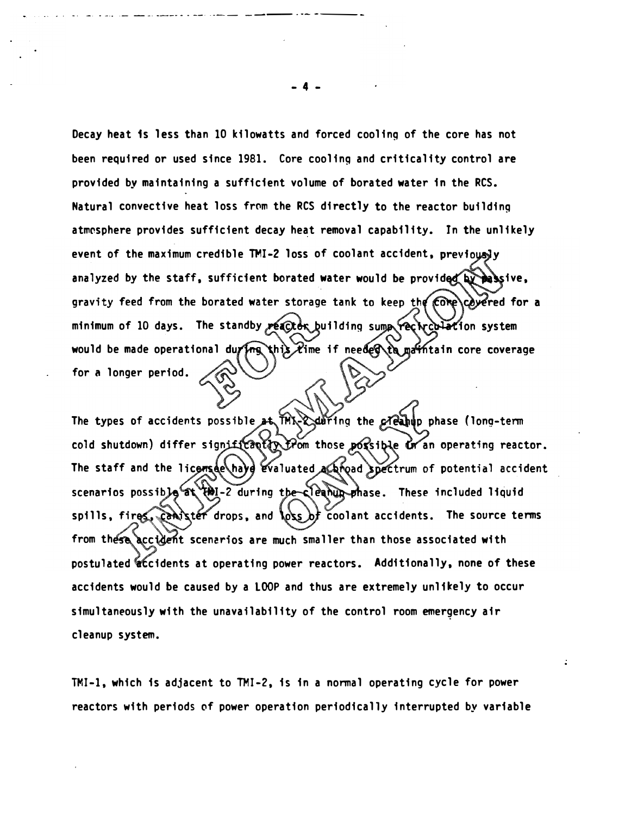Decay heat is less than 10 kilowatts and forced cooling of the core has not been required or used since 1981. Core cooling and criticality control are provided by maintaining a sufficient volume of borated water in the RCS. Natural convective heat loss from the RCS directly to the reactor building atmosphere provides sufficient decay heat removal capability. In the unlikely event of the maximum credible TMI-2 loss of coolant accident, previously analyzed by the staff, sufficient borated water would be provided by passive, gravity feed from the borated water storage tank to keep the Come covered for a minimum of 10 days. The standby reactor building sump recirculation system would be made operational during this lime if needed to matintain core coverage for a longer period.

The types of accidents possible at THX-X daring the creatup phase (long-term cold shutdown) differ significantly from those porsible or an operating reactor. The staff and the license hayd evaluated a annot spectrum of potential accident scenarios possible at the-2 during the-cleanup shase. These included liquid spills, fires, canister drops, and loss of coolant accidents. The source terms from these accident scenarios are much smaller than those associated with postulated accidents at operating power reactors. Additionally, none of these accidents would be caused by a LOOP and thus are extremely unlikely to occur simultaneously with the unavailability of the control room emergency air cleanup system.

TMI-1, which is adjacent to TMI-2, is in a normal operating cycle for power reactors with periods of power operation periodically interrupted by variable

- 4 -

.. -· . -·· ·- --· ---- - . --· · ·-- ---· ·- ----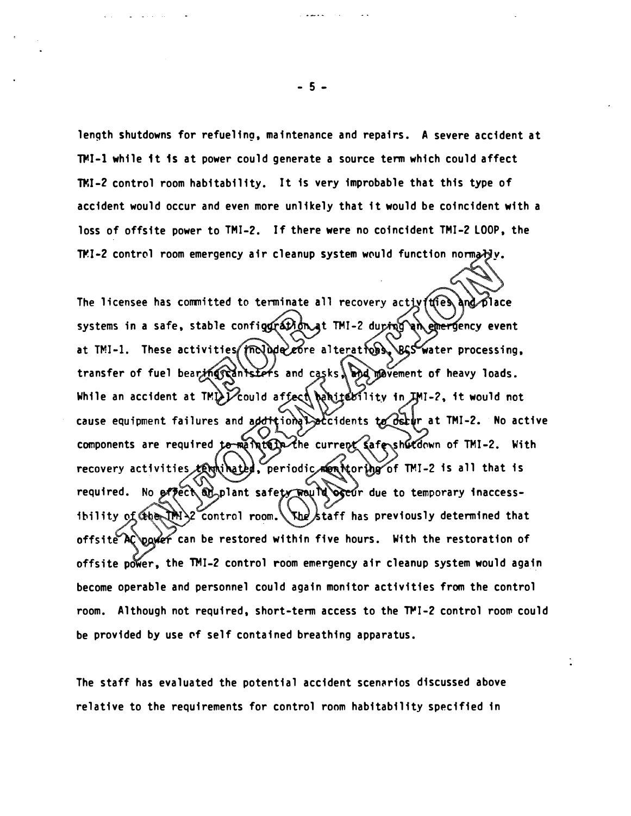length shutdowns for refueling, maintenance and repairs. A severe accident at �I-1 while it is at power could generate a source term which could affect TMI-2 control room habitability. It is very improbable that this type of accident would occur and even more unlikely that it would be coincident with a loss of offsite power to TMI-2. If there were no coincident TMI-2 LOOP, the TMI-2 control room emergency air cleanup system would function normady.

The licensee has committed to terminate all recovery activities and place systems in a safe, stable configgration at TMI-2 during an emergency event at TMI-1. These activities (include core alterations, BGS water processing, transfer of fuel bearing cantsters and casks. and wement of heavy loads. While an accident at TMD  $\chi$  could affect behite  $M1$ ity in  $JM1-2$ , it would not cause equipment failures and additional accidents to detur at TMI-2. No active components are required to methods. The current safe shutdown of TMI-2. With recovery activities tentiled, periodic mentioring of TMI-2 is all that is required. No effect ad plant safety way in ogeor due to temporary inaccessibility of Ceber IPM  $\geq$  control room. The staff has previously determined that offsite AC pawer can be restored within five hours. With the restoration of offsite power, the TMI-2 control room emergency air cleanup system would again become operable and personnel could again monitor activities from the control room. Although not required, short-term access to the TMI-2 control room could be provided by use of self contained breathing apparatus.

The staff has evaluated the potential accident scen�rios discussed above relative to the requirements for control room habitability specified in

- 5 -

المحامل والمستقال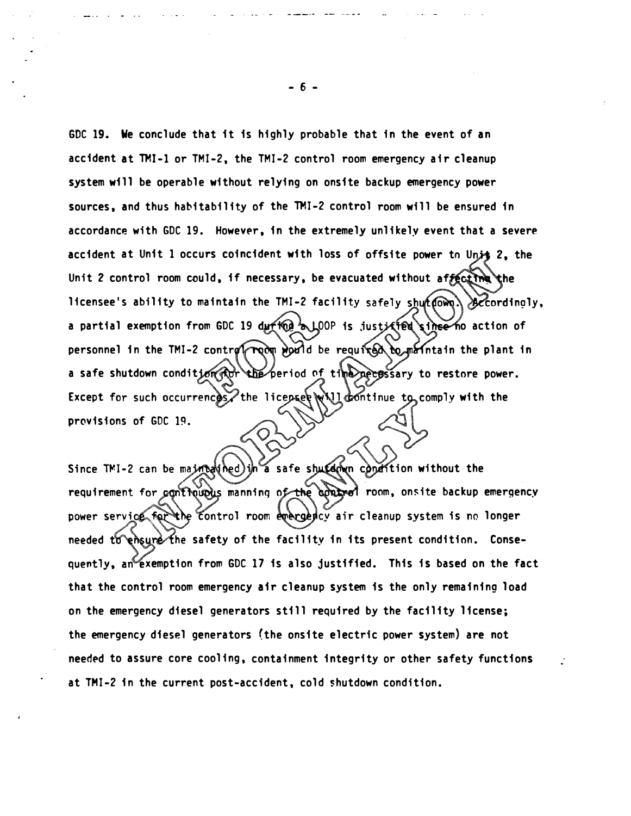GOC 19. We conclude that it is highly probable that in the event of an accident at TMI-1 or TMI-2, the TMI-2 control room emergency air cleanup system will be operable without relying on onsite backup emergency power sources, and thus habitability of the TMI-2 control room will be ensured in accordance with GDC 19. However, in the extremely unlikely event that a severe accident at Unit 1 occurs coincident with loss of offsite power to Unit 2, the Unit 2 control room could, if necessary, be evacuated without affective the licensee's ability to maintain the TMI-2 facility safely shut (OWQ) accordingly, a partial exemption from GDC 19 during a LOOP is justified since no action of personnel in the TMI-2 control room would be required to meintain the plant in a safe shutdown condition for the period of time needs sary to restore power. Except for such occurrences, the licensee will dontinue to comply with the provisions of GDC 19.

requirement for controls manning o<del>f th</del>e control room, onsite backup emergency Since TMI-2 can be mainted in a safe shutdown condition without the power service for the control room emergedcy air cleanup system is no longer needed to ensure the safety of the facility in its present condition. Consequently, an exemption from GDC 17 is also justified. This is based on the fact that the control room emergency air cleanup system is the only remaining load on the emergency diesel generators still required by the facility license; the emergency diesel generators (the onsite electric power system) are not needed to assure core cooling, containment integrity or other safety functions at TMI-2 in the current post-accident, cold shutdown condition.

- 6 -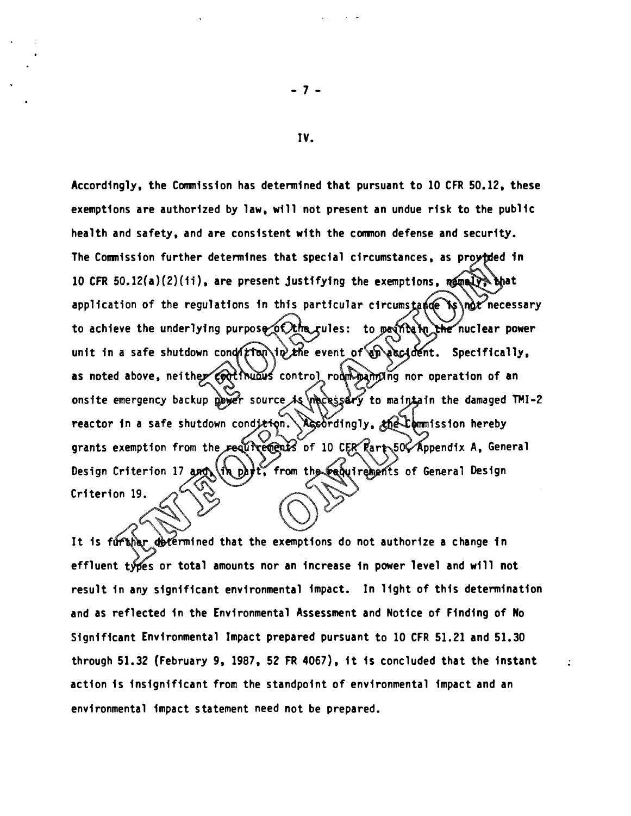Accordingly, the Commission has determined that pursuant to 10 CFR 50.12, these exemptions are authorized by law, will not present an undue risk to the public health and safety, and are consistent with the common defense and security. The Commission further determines that special circumstances, as proytded in 10 CFR 50.12(a)(2)(ii), are present justifying the exemptions,  $n = \sqrt{3}$  that application of the regulations in this particular circumstance is not necessary to achieve the underlying purpose of the rules: to paint in the nuclear power unit in a safe shutdown conder to in the event of an accident. Specifically, as noted above, neither codifinities control room maniling nor operation of an onsite emergency backup power source is necessary to maintain the damaged TMI-2 reactor in a safe shutdown condition. Accordingly, the tommission hereby grants exemption from the requirements of 10 CER Rart 50 Appendix A, General Design Criterion 17 and (in part, from the requirements of General Design Criterion 19.

It is further determined that the exemptions do not authorize a change in effluent types or total amounts nor an increase in power level and will not result in any significant environmental impact. In light of this determination and as reflected in the Environmental Assessment and Notice of Finding of No Significant Environmental Impact prepared pursuant to 10 CFR 51.21 and 51.30 through 51.32 (February 9, 1987, 52 FR 4067), it is concluded that the instant action is insignificant from the standpoint of environmental impact and an environmental impact statement need not be prepared.

IV.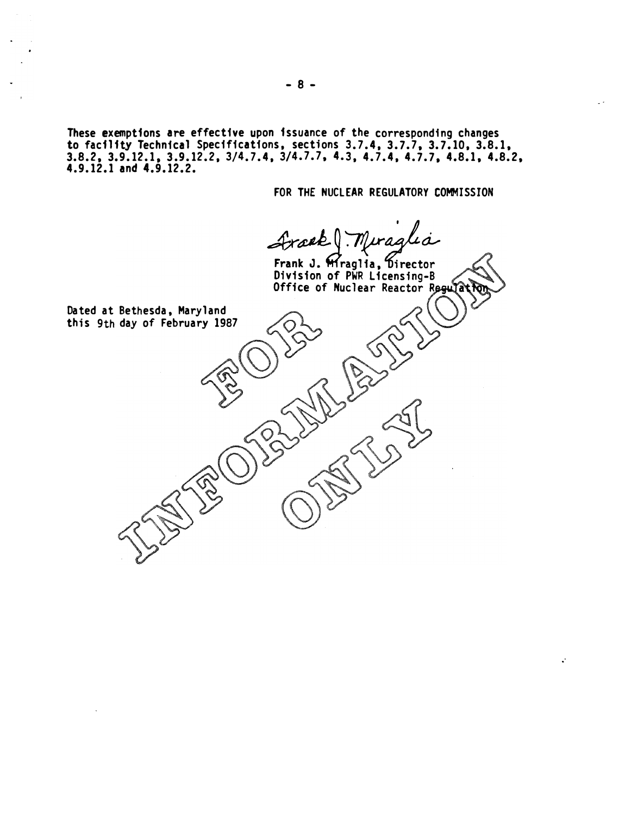These exemptions are effective upon issuance of the corresponding changes to facility Technical Specifications, sections 3.7.4, 3.7.7, 3.7.10, 3.8.1, 3.8.2, 3.9.12.1, 3.9.12.2, 3/4.7.4, 3/4.7.7, 4.3, 4.7.4, 4.7.7, 4.8.1, 4.8.2, 4.9.12.1 and 4.9.12.2.

FOR THE NUCLEAR REGULATORY COMMISSION

.·

Frækt Muraglia Frank J. Mraglia, Director<br>Division of PWR Licensing-B

Office of Nuclear Reactor Regula Dated at Bethesda, Maryland this 9th day of February 1987

- 8 -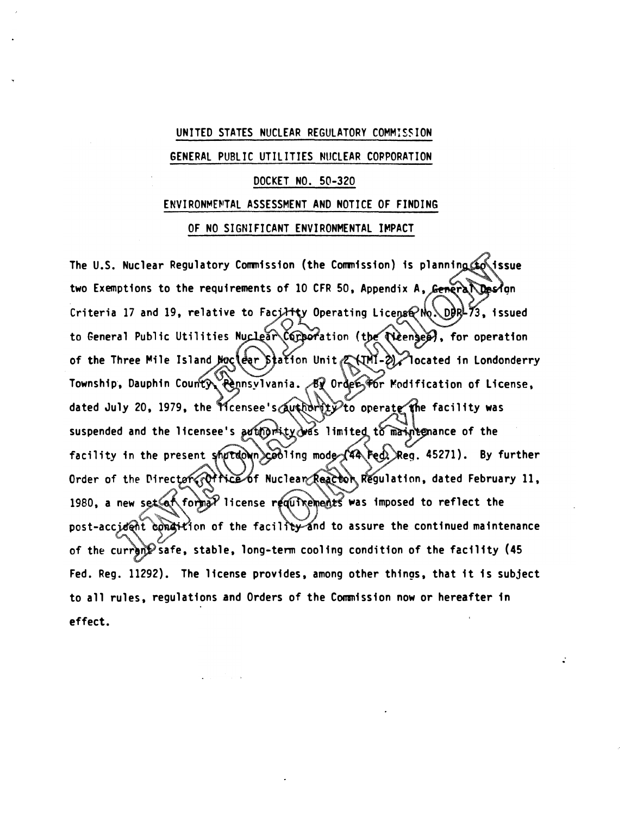#### UNITED STATES NUCLEAR REGULATORY COMMIS�ION

#### GENERAL PUBLIC UTILITIES NUCLEAR COPPORATION

## DOCKET NO. 50-320

#### ENVIRONMENTAL ASSESSMENT AND NOTICE OF FINDING

### OF NO SIGNIFICANT ENVIRONMENTAL IMPACT

The U.S. Nuclear Regulatory Commission (the Commission) is planning to issue two Exemptions to the requirements of 10 CFR 50, Appendix A, General Design Criteria 17 and 19, relative to Facility Operating License No. DDRL73, issued to General Public Utilities Nuclear Comporation (the Neenger), for operation of the Three Mile Island Noclear Station Unit (AMI-2) located in Londonderry Township, Dauphin County Pennsylvania. By Order for Modification of License, dated July 20, 1979, the Ticensee's @uthdrity to operate the facility was suspended and the licensee's arthority was limited to maintemance of the facility in the present shutdown cooling mode (44 Fed. Reg. 45271). By further Order of the Director (Office of Nuclear Reactor Regulation, dated February 11, 1980, a new set at formal license requirements was imposed to reflect the post-accident condition of the facility and to assure the continued maintenance of the current safe, stable, long-term cooling condition of the facility (45 Fed. Reg. 11292). The license provides, among other things, that it is subject to all rules, regulations and Orders of the Commission now or hereafter in effect.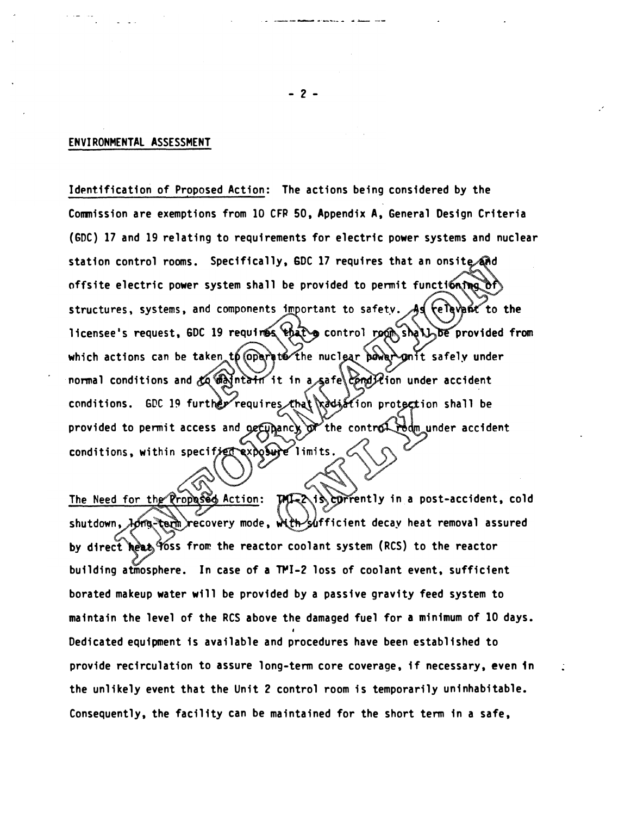## ENVIRONMENT�l ASSESSMENT

Identification of Proposed Action: The actions being considered by the Commission are exemptions from 10 CFP 50, Appendix A, General Design Criteria (GDC) 17 and 19 relating to requirements for electric power systems and nuclear station control rooms. Specifically, GDC 17 requires that an onsite and offsite electric power system shall be provided to permit functioning  $\delta \hat{r}$ structures, systems, and components important to safety. As relayant to the licensee's request, GDC 19 requires that g control room shall be provided from which actions can be taken to coperate the nuclear power gant safely under normal conditions and  $k$  which it in a safe Englishm under accident conditions. GDC 19 further requires that radiation protection shall be provided to permit access and ogetypancy of the control redm under accident conditions, within specified exposure limits.

The Need for the Propased Action: MIZZ is corrently in a post-accident, cold shutdown, *long*-term recovery mode, with sufficient decay heat removal assured by direct heat Yoss from the reactor coolant system (RCS) to the reactor building atmosphere. In case of a TMI-2 loss of coolant event, sufficient borated makeup water will be provided by a passive gravity feed system to maintain the level of the RCS above the damaged fuel for a minimum of 10 days. Dedicated equipment is available and procedures have been established to provide recirculation to assure long-term core coverage, if necessary, even in the unlikely event that the Unit 2 control room is temporarily uninhabitable. Consequently, the facility can be maintained for the short term in a safe,

- 2 -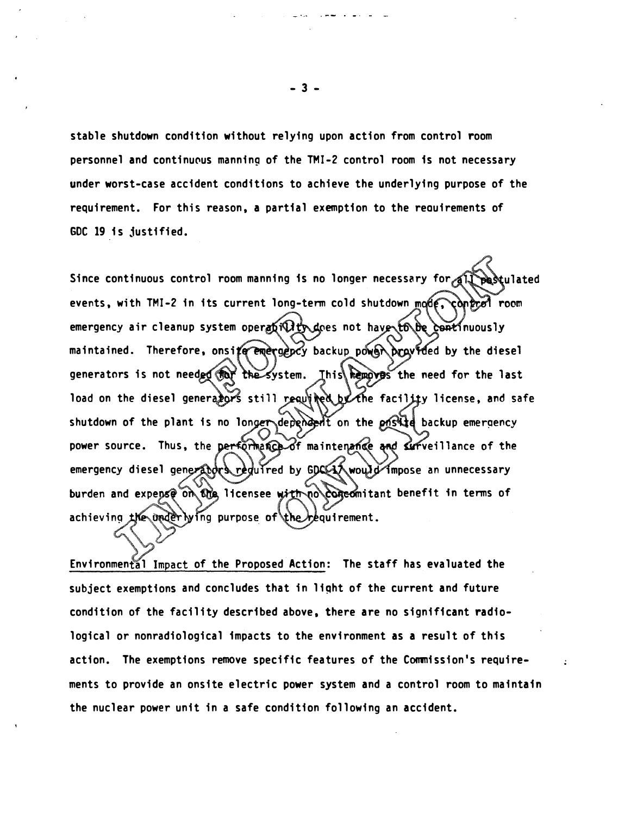stable shutdown condition without relying upon action from control room personnel and continuous manning of the TMI-2 control room is not necessary under worst-case accident conditions to achieve the underlying purpose of the requirement. For this reason, a partial exemption to the reauirements of GDC 19 is justified.

Since continuous control room manning is no longer necessary for all pestulated events, with TMI-2 in its current long-term cold shutdown mode, control room emergency air cleanup system operation thave to be continuously maintained. Therefore, onsite emergency backup power pravided by the diesel generators is not needed for the system. Ihis removes the need for the last load on the diesel generalors still requined by the facility license, and safe shutdown of the plant is no longer dependent on the pnstite backup emergency power source. Thus, the performance of maintenance and surveillance of the emergency diesel generators regulred by GDCCLA would impose an unnecessary burden and expense on the licensee with no concomitant benefit in terms of achieving the underlying purpose of the requirement.

Environmental Impact of the Proposed Action: The staff has evaluated the subject exemptions and concludes that in light of the current and future condition of the facility described above, there are no significant radiological or nonradiological impacts to the environment as a result of this action. The exemptions remove specific features of the Commission's requirements to provide an onsite electric power system and a control room to maintain the nuclear power unit in a safe condition following an accident.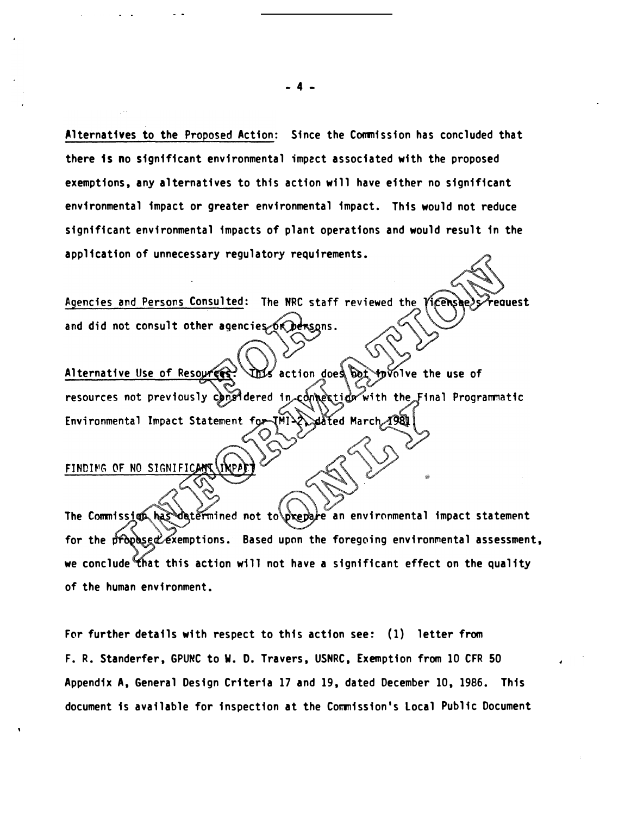Alternatives to the Proposed Action: Since the Commission has concluded that there is no significant environmental impect associated with the proposed exemptions, any alternatives to this action will have either no significant environmental impact or greater environmental impact. This would not reduce significant environmental impacts of plant operations and would result in the application of unnecessary regulatory requirements.

Agencies and Persons Consulted: The NRC staff reviewed the 'icens' equest and did not consult other agencies or Dersons.

This action does bet provide the use of Alternative Use of Resources? resources not previously congidered in connection with the Final Programmatic Environmental Impact Statement for *A* 981 JMI) dåted March

# FINDING OF NO SIGNIFICAN

for the propased exemptions. Based upon the foregoing environmental assessment, we conclude that this action will not have a significant effect on the quality The Commission has datermined not to brepare an environmental impact statement of the human environment.

For further details with respect to this action see: (1) letter from F. R. Standerfer, GPUNC to W. D. Travers, USNRC, Exemption from 10 CFR 50 Appendix A, General Design Criteria 17 and 19, dated December 10, 1986. This document is available for inspection at the Commission's Local Public Document

- 4 -